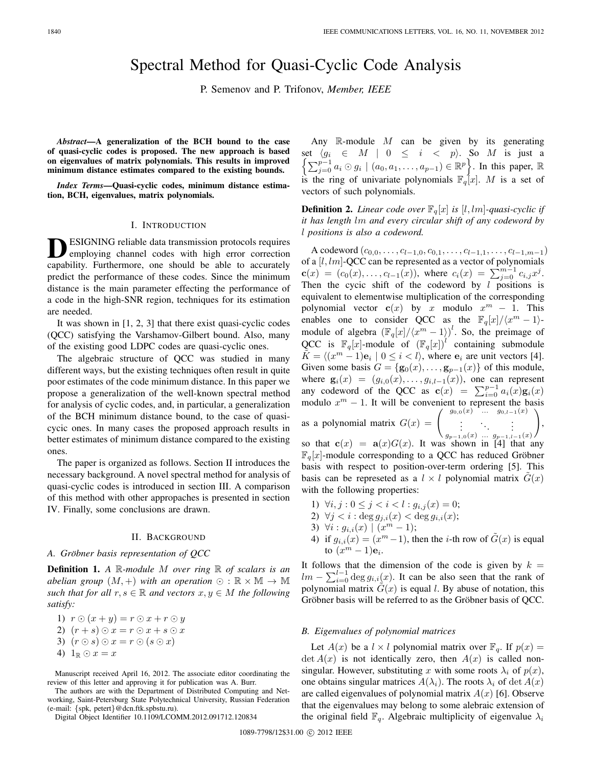# Spectral Method for Quasi-Cyclic Code Analysis

P. Semenov and P. Trifonov, *Member, IEEE*

*Abstract***—A generalization of the BCH bound to the case of quasi-cyclic codes is proposed. The new approach is based on eigenvalues of matrix polynomials. This results in improved minimum distance estimates compared to the existing bounds.**

*Index Terms***—Quasi-cyclic codes, minimum distance estimation, BCH, eigenvalues, matrix polynomials.**

## I. INTRODUCTION

**DESIGNING** reliable data transmission protocols requires<br>
employing channel codes with high error correction capability. Furthermore, one should be able to accurately predict the performance of these codes. Since the minimum distance is the main parameter effecting the performance of a code in the high-SNR region, techniques for its estimation are needed.

It was shown in [1, 2, 3] that there exist quasi-cyclic codes (QCC) satisfying the Varshamov-Gilbert bound. Also, many of the existing good LDPC codes are quasi-cyclic ones.

The algebraic structure of QCC was studied in many different ways, but the existing techniques often result in quite poor estimates of the code minimum distance. In this paper we propose a generalization of the well-known spectral method for analysis of cyclic codes, and, in particular, a generalization of the BCH minimum distance bound, to the case of quasicycic ones. In many cases the proposed approach results in better estimates of minimum distance compared to the existing ones.

The paper is organized as follows. Section II introduces the necessary background. A novel spectral method for analysis of quasi-cyclic codes is introduced in section III. A comparison of this method with other appropaches is presented in section IV. Finally, some conclusions are drawn.

### II. BACKGROUND

#### *A. Grobner basis representation of QCC ¨*

**Definition 1.** *A* R*-module* M *over ring* R *of scalars is an abelian group*  $(M, +)$  *with an operation*  $\odot$  :  $\mathbb{R} \times \mathbb{M} \rightarrow \mathbb{M}$ *such that for all*  $r, s \in \mathbb{R}$  *and vectors*  $x, y \in M$  *the following satisfy:*

1)  $r \odot (x+y) = r \odot x + r \odot y$ 2)  $(r + s) \odot x = r \odot x + s \odot x$ 3)  $(r \odot s) \odot x = r \odot (s \odot x)$ 4)  $1_{\mathbb{R}} \odot x = x$ 

Manuscript received April 16, 2012. The associate editor coordinating the review of this letter and approving it for publication was A. Burr.

The authors are with the Department of Distributed Computing and Networking, Saint-Petersburg State Polytechnical University, Russian Federation (e-mail: {spk, petert}@dcn.ftk.spbstu.ru).

Digital Object Identifier 10.1109/LCOMM.2012.091712.120834

Any  $\mathbb R$ -module  $M$  can be given by its generating  $\left\{\sum_{j=0}^{p-1}a_i\odot g_i \mid (a_0,a_1,\ldots,a_{p-1})\in\mathbb{R}^p\right\}$ . In this paper,  $\mathbb R$ set  $\langle g_i \in M \mid 0 \le i \langle p \rangle$ . So M is just a is the ring of univariate polynomials  $\mathbb{F}_q[x]$ . M is a set of vectors of such polynomials.

**Definition 2.** *Linear code over*  $\mathbb{F}_q[x]$  *is* [l, lm]-quasi-cyclic if *it has length* lm *and every circular shift of any codeword by* l *positions is also a codeword.*

A codeword (c0,0,...,cl*−*1,0, c0,1,...,cl*−*1,1,...,cl*−*1,m*−*1) of a  $[l,lm]$ -QCC can be represented as a vector of polynomials  $\mathbf{c}(x)=(c_0(x),\ldots,c_{l-1}(x)),$  where  $c_i(x)=\sum_{j=0}^{m-1}c_{i,j}x^j$ .<br>Then the cyclic shift of the codeword by *l* positions is Then the cycic shift of the codeword by  $l$  positions is equivalent to elementwise multiplication of the corresponding polynomial vector **c**(x) by x modulo  $x^m - 1$ . This enables one to consider QCC as the  $\mathbb{F}_q[x]/\langle x^m-1\rangle$ module of algebra  $(\mathbb{F}_q[x]/\langle x^m-1 \rangle)^l$ . So, the preimage of QCC is  $\mathbb{F}_q[x]$ -module of  $(\mathbb{F}_q[x])^l$  containing submodule  $\tilde{K} = \langle (x^m - 1)\mathbf{e}_i \mid 0 \leq i < l \rangle$ , where  $\mathbf{e}_i$  are unit vectors [4]. Given some basis  $G = {\bf{g}}_0(x),..., {\bf{g}}_{p-1}(x)$  of this module,<br>where  ${\bf g}_i(x) = (g_{i,0}(x),..., g_{i,l-1}(x))$ , one can represent where  $\mathbf{g}_i(x)=(g_{i,0}(x),\ldots,g_{i,l-1}(x))$ , one can represent<br>any codeword of the OCC as  $c(x) = \sum_{i=1}^{p-1} a_i(x) \mathbf{g}_i(x)$ any codeword of the QCC as  $\mathbf{c}(x) = \sum_{i=0}^{p-1} a_i(x) \mathbf{g}_i(x)$ <br>modulo  $x^m - 1$ . It will be convenient to represent the basis modulo  $x^m - 1$ . It will be convenient to represent the basis  $\left( \begin{array}{cc} g_{0,0}(x) & \cdots & g_{0,l-1}(x) \end{array} \right)$ as a polynomial matrix  $G(x) = \begin{pmatrix} g_{0,0}(x) & \dots & g_{0,l-1}(x) \\ \vdots & \ddots & \vdots \end{pmatrix}$  $\setminus$ ,

 $g_{p-1,0}(x) \dots g_{p-1,l-1}(x)$ <br>shown in [4] that so that  $\mathbf{c}(x) = \mathbf{a}(x)G(x)$ . It was shown in [4] that any<br>  $\mathbb{F}[x]$ -module corresponding to a OCC has reduced Gröbner  $\mathbb{F}_q[x]$ -module corresponding to a QCC has reduced Gröbner basis with respect to position-over-term ordering [5]. This basis can be represeted as a  $l \times l$  polynomial matrix  $G(x)$ with the following properties:

- 1)  $\forall i, j : 0 \leq j < i < l : g_{i,j}(x) = 0;$
- 2)  $\forall j < i : \deg g_{j,i}(x) < \deg g_{i,i}(x);$
- 3)  $\forall i : g_{i,i}(x) \mid (x^m 1);$
- 4) if  $g_{i,i}(x)=(x^m-1)$ , then the *i*-th row of  $\tilde{G}(x)$  is equal to  $(x^m - 1)\mathbf{e}_i$ .

It follows that the dimension of the code is given by  $k =$  $lm - \sum_{i=0}^{l-1} \deg g_{i,i}(x)$ . It can be also seen that the rank of polynomial matrix  $\hat{G}(x)$  is equal l. By abuse of notation, this polynomial matrix  $G(x)$  is equal l. By abuse of notation, this Gröbner basis will be referred to as the Gröbner basis of QCC.

#### *B. Eigenvalues of polynomial matrices*

Let  $A(x)$  be a  $l \times l$  polynomial matrix over  $\mathbb{F}_q$ . If  $p(x) =$  $\det A(x)$  is not identically zero, then  $A(x)$  is called nonsingular. However, substituting x with some roots  $\lambda_i$  of  $p(x)$ , one obtains singular matrices  $A(\lambda_i)$ . The roots  $\lambda_i$  of  $\det A(x)$ are called eigenvalues of polynomial matrix  $A(x)$  [6]. Observe that the eigenvalues may belong to some alebraic extension of the original field  $\mathbb{F}_q$ . Algebraic multiplicity of eigenvalue  $\lambda_i$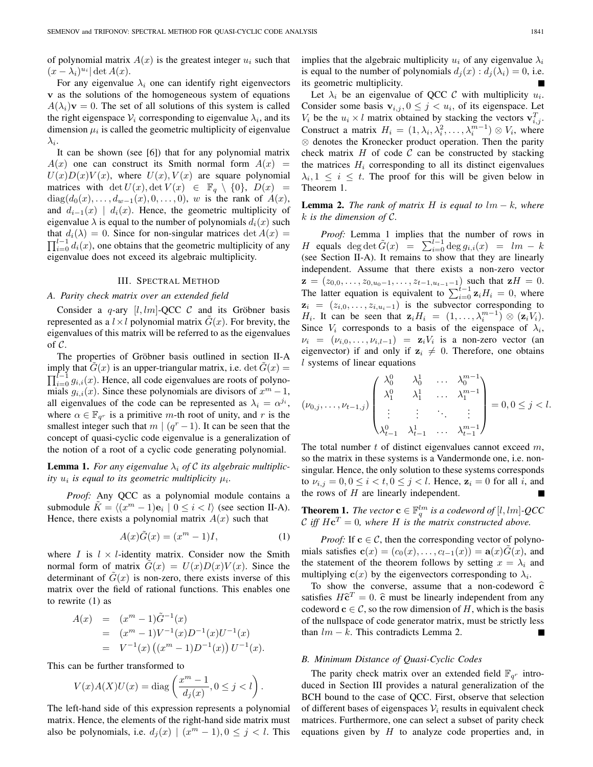of polynomial matrix  $A(x)$  is the greatest integer  $u_i$  such that  $(x - \lambda_i)^{u_i}$  det  $A(x)$ .

For any eigenvalue  $\lambda_i$  one can identify right eigenvectors **v** as the solutions of the homogeneous system of equations  $A(\lambda_i)\mathbf{v} = 0$ . The set of all solutions of this system is called the right eigenspace  $V_i$  corresponding to eigenvalue  $\lambda_i$ , and its dimension  $\mu_i$  is called the geometric multiplicity of eigenvalue  $\lambda_i$ .

It can be shown (see [6]) that for any polynomial matrix  $A(x)$  one can construct its Smith normal form  $A(x)$  =  $U(x)D(x)V(x)$ , where  $U(x), V(x)$  are square polynomial matrices with det  $U(x)$ , det  $V(x) \in \mathbb{F}_q \setminus \{0\}$ ,  $D(x) =$ diag( $d_0(x),...,d_{w-1}(x),0,...,0)$ , w is the rank of  $A(x)$ , and  $d_{i-1}(x) \mid d_i(x)$ . Hence, the geometric multiplicity of eigenvalue  $\lambda$  is equal to the number of polynomials  $d_i(x)$  such that  $d_i(\lambda)=0$ . Since for non-singular matrices det  $A(x) =$  $\prod_{i=0}^{l-1} d_i(x)$ , one obtains that the geometric multiplicity of any ejection value does not exceed its algebraic multiplicity eigenvalue does not exceed its algebraic multiplicity.

## III. SPECTRAL METHOD

#### *A. Parity check matrix over an extended field*

Consider a q-ary  $[l, lm]$ -QCC  $C$  and its Gröbner basis represented as a  $l \times l$  polynomial matrix  $G(x)$ . For brevity, the eigenvalues of this matrix will be referred to as the eigenvalues of  $\mathcal{C}$ .

The properties of Gröbner basis outlined in section II-A imply that  $G(x)$  is an upper-triangular matrix, i.e.  $\det G(x) =$  $\prod_{i=0}^{l-1} g_{i,i}(x)$ . Hence, all code eigenvalues are roots of polyno-<br>mials  $g_{i,j}(x)$ . Since these polynomials are divisors of  $x^m - 1$ mials  $g_{i,i}(x)$ . Since these polynomials are divisors of  $x^m - 1$ , all eigenvalues of the code can be represented as  $\lambda_i = \alpha^{j_i}$ , where  $\alpha \in \mathbb{F}_{q^r}$  is a primitive *m*-th root of unity, and *r* is the smallest integer such that  $m \mid (q^r - 1)$ . It can be seen that the concept of quasi-cyclic code eigenvalue is a generalization of the notion of a root of a cyclic code generating polynomial.

**Lemma 1.** For any eigenvalue  $\lambda_i$  of C its algebraic multiplic*ity*  $u_i$  *is equal to its geometric multiplicity*  $\mu_i$ *.* 

*Proof:* Any QCC as a polynomial module contains a submodule  $K = \langle (x^m - 1)\mathbf{e}_i \mid 0 \le i < l \rangle$  (see section II-A). Hence, there exists a polynomial matrix  $A(x)$  such that

$$
A(x)\tilde{G}(x) = (xm - 1)I,
$$
 (1)

where *I* is  $l \times l$ -identity matrix. Consider now the Smith normal form of matrix  $G(x) = U(x)D(x)V(x)$ . Since the determinant of  $G(x)$  is non-zero, there exists inverse of this matrix over the field of rational functions. This enables one to rewrite (1) as

$$
A(x) = (xm - 1)\tilde{G}-1(x)
$$
  
=  $(xm - 1)V-1(x)D-1(x)U-1(x)$   
=  $V-1(x) ((xm - 1)D-1(x)) U-1(x).$ 

This can be further transformed to

$$
V(x)A(X)U(x) = \text{diag}\left(\frac{x^m - 1}{d_j(x)}, 0 \le j < l\right).
$$

The left-hand side of this expression represents a polynomial matrix. Hence, the elements of the right-hand side matrix must also be polynomials, i.e.  $d_i(x) \mid (x^m - 1), 0 \leq j < l$ . This implies that the algebraic multiplicity  $u_i$  of any eigenvalue  $\lambda_i$ is equal to the number of polynomials  $d_i(x) : d_i(\lambda_i)=0$ , i.e. its geometric multiplicity.

Let  $\lambda_i$  be an eigenvalue of QCC C with multiplicity  $u_i$ . Consider some basis  $\mathbf{v}_{i,j}$ ,  $0 \leq j \leq u_i$ , of its eigenspace. Let  $V_i$  be the  $u_i \times l$  matrix obtained by stacking the vectors  $\mathbf{v}_{i,j}^T$ .<br>Construct a matrix  $H = (1, \ldots, 1^2, \ldots, m-1) \otimes V$ , where Construct a matrix  $H_i = (1, \lambda_i, \lambda_i^2, \dots, \lambda_i^{m-1}) \otimes V_i$ , where  $\otimes$  denotes the Kronecker product operation. Then the parity ⊗ denotes the Kronecker product operation. Then the parity check matrix  $H$  of code  $C$  can be constructed by stacking the matrices  $H_i$  corresponding to all its distinct eigenvalues  $\lambda_i, 1 \leq i \leq t$ . The proof for this will be given below in Theorem 1.

## **Lemma 2.** *The rank of matrix* H *is equal to*  $lm - k$ *, where* k *is the dimension of* C*.*

*Proof:* Lemma 1 implies that the number of rows in H equals deg det  $\tilde{G}(x) = \sum_{i=0}^{l-1} \deg g_{i,i}(x) = lm - k$ <br>(see Section II-A). It remains to show that they are linearly (see Section II-A). It remains to show that they are linearly independent. Assume that there exists a non-zero vector **z** = ( $z_{0,0},...,z_{0,u_0-1},...,z_{t-1,u_{t-1}-1}$ ) such that **z**H = 0.<br>The latter equation is equivalent to  $\sum_{t=0}^{t-1} \mathbf{z}_i H_i = 0$ , where  $z_i = (z_{i,0}, \ldots, z_{i,u_i-1})$  is the subvector corresponding to H<sub>i</sub>. It can be seen that  $\mathbf{z}_i H_i = (1, \ldots, \lambda_i^{m-1}) \otimes (\mathbf{z}_i V_i)$ .<br>Since *V<sub>i</sub>* corresponds to a basis of the eigenspace of  $\lambda_i$ . Since  $V_i$  corresponds to a basis of the eigenspace of  $\lambda_i$ ,  $\nu_i = (\nu_{i,0}, \dots, \nu_{i,l-1}) = \mathbf{z}_i V_i$  is a non-zero vector (an eigenvector) if and only if  $z_i \neq 0$ . Therefore, one obtains <br>l systems of linear equations l systems of linear equations

$$
(\nu_{0,j},\ldots,\nu_{t-1,j})\begin{pmatrix}\n\lambda_0^0 & \lambda_0^1 & \ldots & \lambda_0^{m-1} \\
\lambda_1^0 & \lambda_1^1 & \ldots & \lambda_1^{m-1} \\
\vdots & \vdots & \ddots & \vdots \\
\lambda_{t-1}^0 & \lambda_{t-1}^1 & \ldots & \lambda_{t-1}^{m-1}\n\end{pmatrix} = 0, 0 \le j < l.
$$

The total number  $t$  of distinct eigenvalues cannot exceed  $m$ , so the matrix in these systems is a Vandermonde one, i.e. nonsingular. Hence, the only solution to these systems corresponds to  $\nu_{i,j} = 0, 0 \leq i < t, 0 \leq j < l$ . Hence,  $\mathbf{z}_i = 0$  for all i, and the rows of  $H$  are linearly independent.

**Theorem 1.** *The vector*  $\mathbf{c} \in \mathbb{F}_q^{lm}$  is a codeword of [l, lm]-QCC<br>C iff  $H\mathbf{c}^T = 0$ , where H is the matrix constructed above C iff  $H\mathbf{c}^T = 0$ , where H is the matrix constructed above.

*Proof:* If  $c \in C$ , then the corresponding vector of polynomials satisfies  $\mathbf{c}(x)=(c_0(x),\ldots,c_{l-1}(x)) = \mathbf{a}(x)G(x)$ , and the statement of the theorem follows by setting  $x = \lambda_i$  and multiplying  $\mathbf{c}(x)$  by the eigenvectors corresponding to  $\lambda_i$ .

To show the converse, assume that a non-codeword **c** satisfies  $H\hat{\mathbf{c}}^T = 0$ .  $\hat{\mathbf{c}}$  must be linearly independent from any codeword  $c \in \mathcal{C}$ , so the row dimension of H, which is the basis of the nullspace of code generator matrix, must be strictly less than  $lm - k$ . This contradicts Lemma 2.

### *B. Minimum Distance of Quasi-Cyclic Codes*

The parity check matrix over an extended field  $\mathbb{F}_{q^r}$  introduced in Section III provides a natural generalization of the BCH bound to the case of QCC. First, observe that selection of different bases of eigenspaces  $V_i$  results in equivalent check matrices. Furthermore, one can select a subset of parity check equations given by  $H$  to analyze code properties and, in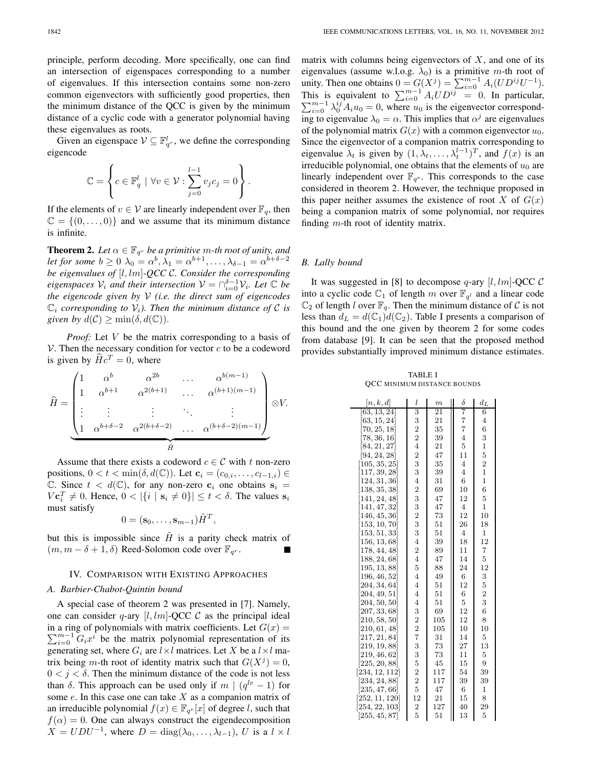principle, perform decoding. More specifically, one can find an intersection of eigenspaces corresponding to a number of eigenvalues. If this intersection contains some non-zero common eigenvectors with sufficiently good properties, then the minimum distance of the QCC is given by the minimum distance of a cyclic code with a generator polynomial having these eigenvalues as roots.

Given an eigenspace  $V \subseteq \mathbb{F}_{q^r}^l$ , we define the corresponding reported eigencode

$$
\mathbb{C} = \left\{ c \in \mathbb{F}_q^l \mid \forall v \in \mathcal{V} : \sum_{j=0}^{l-1} v_j c_j = 0 \right\}.
$$

If the elements of  $v \in V$  are linearly independent over  $\mathbb{F}_q$ , then  $\mathbb{C} = \{(0, \ldots, 0)\}\$ and we assume that its minimum distance is infinite.

**Theorem 2.** Let  $\alpha \in \mathbb{F}_{q^r}$  be a primitive m-th root of unity, and *let for some*  $b \ge 0$   $\lambda_0 = \alpha^b, \lambda_1 = \alpha^{b+1}, \ldots, \lambda_{\delta-1} = \alpha^{b+\delta-2}$ *be eigenvalues of* [l,lm]*-QCC* C*. Consider the corresponding eigenspaces*  $V_i$  *and their intersection*  $V = \bigcap_{i=0}^{\delta-1} V_i$ *. Let*  $\mathbb C$  *be* the *singproode* given by  $V_i$  (*i.e. the direct sum of eigencodes the eigencode given by* V *(i.e. the direct sum of eigencodes*  $\mathbb{C}_i$  *corresponding to*  $\mathcal{V}_i$ *). Then the minimum distance of C is given by*  $d(C) \ge \min(\delta, d(\mathbb{C}))$ .

*Proof:* Let V be the matrix corresponding to a basis of  $V$ . Then the necessary condition for vector  $c$  to be a codeword is given by  $\widehat{H}c^T = 0$ , where

$$
\widehat{H} = \begin{pmatrix}\n1 & \alpha^b & \alpha^{2b} & \cdots & \alpha^{b(m-1)} \\
1 & \alpha^{b+1} & \alpha^{2(b+1)} & \cdots & \alpha^{(b+1)(m-1)} \\
\vdots & \vdots & \vdots & \ddots & \vdots \\
1 & \alpha^{b+\delta-2} & \alpha^{2(b+\delta-2)} & \cdots & \alpha^{(b+\delta-2)(m-1)}\n\end{pmatrix} \otimes V.
$$

Assume that there exists a codeword  $c \in \mathcal{C}$  with t non-zero positions,  $0 < t < \min(\delta, d(\mathbb{C}))$ . Let  $\mathbf{c}_i = (c_{0,i}, \ldots, c_{l-1,i}) \in$  $\mathbb{C}$ . Since  $t < d(\mathbb{C})$ , for any non-zero  $c_i$  one obtains  $s_i =$  $\{V \mathbf{c}_i^T \neq 0\}$ . Hence,  $0 < |\{i \mid \mathbf{s}_i \neq 0\}| \le t < \delta$ . The values  $\mathbf{s}_i$  must satisfy must satisfy

$$
0 = (\mathbf{s}_0, \dots, \mathbf{s}_{m-1}) \tilde{H}^T,
$$

but this is impossible since  $\tilde{H}$  is a parity check matrix of  $(m, m - \delta + 1, \delta)$  Reed-Solomon code over  $\mathbb{F}_{q^r}$ .

### IV. COMPARISON WITH EXISTING APPROACHES

#### *A. Barbier-Chabot-Quintin bound*

A special case of theorem 2 was presented in [7]. Namely, one can consider q-ary  $[l,lm]$ -QCC  $\mathcal C$  as the principal ideal  $\sum_{i=0}^{m-1} G_i x^i$  be the matrix polynomial representation of its<br>generating set where  $G_i$  are  $l \times l$  matrices Let X be a  $l \times l$  main a ring of polynomials with matrix coefficients. Let  $G(x) =$ generating set, where  $G_i$  are  $l \times l$  matrices. Let X be a  $l \times l$  matrix being m-th root of identity matrix such that  $G(X^{j})=0$ ,  $0 < j < \delta$ . Then the minimum distance of the code is not less than  $\delta$ . This approach can be used only if m |  $(q^{le} - 1)$  for some  $e$ . In this case one can take  $X$  as a companion matrix of an irreducible polynomial  $f(x) \in \mathbb{F}_{q^e}[x]$  of degree l, such that  $f(\alpha)=0$ . One can always construct the eigendecomposition  $X = UDU^{-1}$ , where  $D = \text{diag}(\lambda_0, \dots, \lambda_{l-1}), U$  is a  $l \times l$  matrix with columns being eigenvectors of  $X$ , and one of its eigenvalues (assume w.l.o.g.  $\lambda_0$ ) is a primitive m-th root of unity. Then one obtains  $0 = G(X^j) = \sum_{i=0}^{m-1} A_i (UD^{ij}U^{-1})$ .<br>This is equivalent to  $\sum_{i=0}^{m-1} A_i U D^{ij} = 0$ . In particular,  $\sum_{i=0}^{m-1} \lambda_{i}^{ij} A_i u_0 = 0$ , where  $u_0$  is the eigenvector correspond- $\sum_{i=0}^{m-1} \lambda_0^{ij} A_i u_0 = 0$ , where  $u_0$  is the eigenvector correspond-<br>ing to eigenvalue  $\lambda_0 = \alpha$ . This implies that  $\alpha_0^j$  are eigenvalues ing to eigenvalue  $\lambda_0 = \alpha$ . This implies that  $\alpha^j$  are eigenvalues of the polynomial matrix  $G(x)$  with a common eigenvector  $u_0$ . Since the eigenvector of a companion matrix corresponding to eigenvalue  $\lambda_t$  is given by  $(1, \lambda_t, \dots, \lambda_t^{l-1})^T$ , and  $f(x)$  is an irreducible polynomial, one obtains that the elements of  $u_0$  are linearly independent over  $\mathbb{F}_{q^e}$ . This corresponds to the case considered in theorem 2. However, the technique proposed in this paper neither assumes the existence of root  $X$  of  $G(x)$ being a companion matrix of some polynomial, nor requires finding  $m$ -th root of identity matrix.

## *B. Lally bound*

It was suggested in [8] to decompose q-ary  $[l,lm]$ -QCC C into a cyclic code  $\mathbb{C}_1$  of length m over  $\mathbb{F}_{q^l}$  and a linear code  $\mathbb{C}_2$  of length l over  $\mathbb{F}_q$ . Then the minimum distance of C is not less than  $d_L = d(\mathbb{C}_1)d(\mathbb{C}_2)$ . Table I presents a comparison of this bound and the one given by theorem 2 for some codes from database [9]. It can be seen that the proposed method provides substantially improved minimum distance estimates.

TABLE I QCC MINIMUM DISTANCE BOUNDS

| [n,k,d]                    | l              | $\mathfrak{m}$  | δ              | $d_{\underline{L}}$ |
|----------------------------|----------------|-----------------|----------------|---------------------|
| [63, 13, 24]               | 3              | $\overline{2}1$ | 7              | 6                   |
| [63, 15, 24]               | 3              | 21              | $\overline{7}$ | 4                   |
| [70, 25, 18]               | $\overline{2}$ | 35              | $\overline{7}$ | 6                   |
| [78, 36, 16]               | $\overline{c}$ | 39              | $\overline{4}$ | 3                   |
| [84, 21, 27]               | $\overline{4}$ | 21              | 5              | 1                   |
| [94, 24, 28]               | $\overline{2}$ | 47              | 11             | 5                   |
| [105, 35, 25]              | 3              | 35              | $\overline{4}$ | $\overline{2}$      |
| [117, 39, 28]              | 3              | 39              | $\overline{4}$ | $\overline{1}$      |
| [124, 31, 36]              | $\overline{4}$ | 31              | 6              | $\mathbf{1}$        |
| [138, 35, 38]              | $\overline{2}$ | 69              | 10             | 6                   |
| [141, 24, 48]              | 3              | 47              | 12             | 5                   |
| [141, 47, 32]              | 3              | 47              | $\overline{4}$ | $\overline{1}$      |
| $\left[146,45,36\right]$   | $\overline{2}$ | 73              | 12             | 10                  |
| $\left[153, 10, 70\right]$ | 3              | 51              | 26             | 18                  |
| $\left[153,51,33\right]$   | 3              | 51              | $\overline{4}$ | $\mathbf{1}$        |
| $\left[156, 13, 68\right]$ | $\overline{4}$ | 39              | 18             | 12                  |
| [178, 44, 48]              | $\overline{c}$ | 89              | 11             | 7                   |
| $\left[188, 24, 68\right]$ | $\overline{4}$ | 47              | 14             | 5                   |
| [195, 13, 88]              | 5              | 88              | 24             | 12                  |
| $\left[196,46,52\right]$   | $\overline{4}$ | 49              | 6              | 3                   |
| [204, 34, 64]              | $\overline{4}$ | 51              | 12             | 5                   |
| [204, 49, 51]              | $\overline{4}$ | 51              | 6              | $\overline{2}$      |
| [204, 50, 50]              | $\overline{4}$ | 51              | 5              | 3                   |
| [207, 33, 68]              | 3              | 69              | 12             | 6                   |
| $\left[210, 58, 50\right]$ | $\overline{2}$ | 105             | 12             | 8                   |
| [210,61,48]                | $\overline{2}$ | 105             | 10             | 10                  |
| [217, 21, 84]              | 7              | 31              | 14             | 5                   |
| [219, 19, 88]              | 3              | 73              | 27             | 13                  |
| [219, 46, 62]              | 3              | 73              | 11             | 5                   |
| [225, 20, 88]              | 5              | 45              | 15             | 9                   |
| [234, 12, 112]             | $\overline{2}$ | 117             | 54             | 39                  |
| [234, 24, 88]              | $\overline{2}$ | 117             | 39             | 39                  |
| [235, 47, 66]              | $\overline{5}$ | 47              | 6              | $\mathbf{1}$        |
| [252, 11, 120]             | 12             | 21              | 15             | 8                   |
| [254, 22, 103]             | $\frac{2}{5}$  | 127             | 40             | 29                  |
| [255, 45, 87]              |                | 51              | 13             | 5                   |